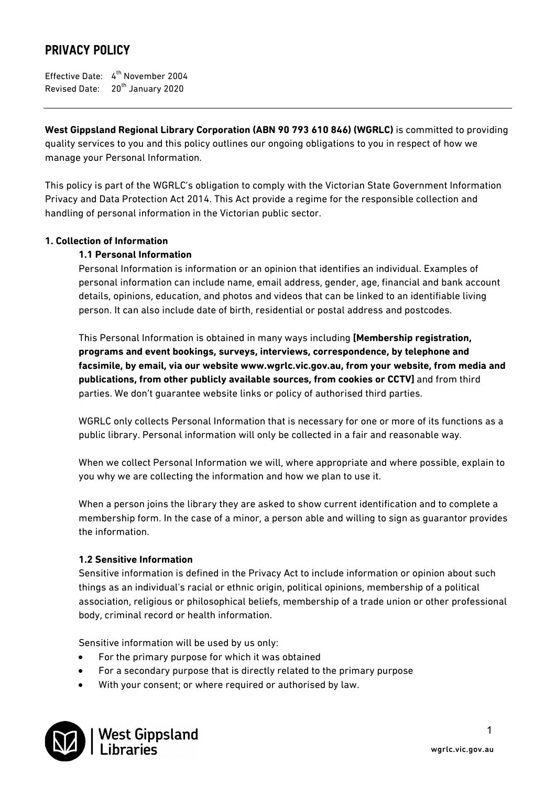# PRIVACY POLICY

Effective Date:  $4^{\text{th}}$  November 2004 Revised Date: 20<sup>th</sup> January 2020

**West Gippsland Regional Library Corporation (ABN 90 793 610 846) (WGRLC)** is committed to providing quality services to you and this policy outlines our ongoing obligations to you in respect of how we manage your Personal Information.

This policy is part of the WGRLC's obligation to comply with the Victorian State Government Information Privacy and Data Protection Act 2014. This Act provide a regime for the responsible collection and handling of personal information in the Victorian public sector.

### **1. Collection of Information**

### **1.1 Personal Information**

Personal Information is information or an opinion that identifies an individual. Examples of personal information can include name, email address, gender, age, financial and bank account details, opinions, education, and photos and videos that can be linked to an identifiable living person. It can also include date of birth, residential or postal address and postcodes.

This Personal Information is obtained in many ways including **[Membership registration, programs and event bookings, surveys, interviews, correspondence, by telephone and facsimile, by email, via our website www.wgrlc.vic.gov.au, from your website, from media and publications, from other publicly available sources, from cookies or CCTV]** and from third parties. We don't guarantee website links or policy of authorised third parties.

WGRLC only collects Personal Information that is necessary for one or more of its functions as a public library. Personal information will only be collected in a fair and reasonable way.

When we collect Personal Information we will, where appropriate and where possible, explain to you why we are collecting the information and how we plan to use it.

When a person joins the library they are asked to show current identification and to complete a membership form. In the case of a minor, a person able and willing to sign as guarantor provides the information.

### **1.2 Sensitive Information**

Sensitive information is defined in the Privacy Act to include information or opinion about such things as an individual's racial or ethnic origin, political opinions, membership of a political association, religious or philosophical beliefs, membership of a trade union or other professional body, criminal record or health information.

Sensitive information will be used by us only:

- For the primary purpose for which it was obtained
- For a secondary purpose that is directly related to the primary purpose
- With your consent; or where required or authorised by law.

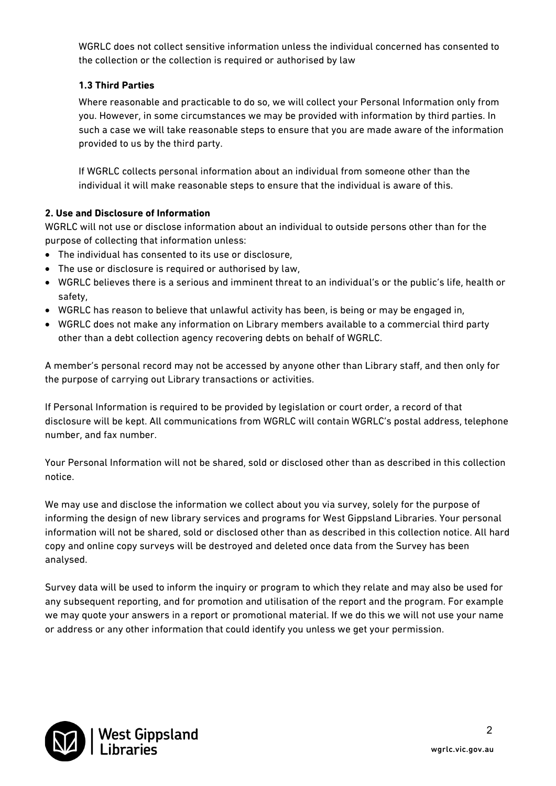WGRLC does not collect sensitive information unless the individual concerned has consented to the collection or the collection is required or authorised by law

# **1.3 Third Parties**

Where reasonable and practicable to do so, we will collect your Personal Information only from you. However, in some circumstances we may be provided with information by third parties. In such a case we will take reasonable steps to ensure that you are made aware of the information provided to us by the third party.

If WGRLC collects personal information about an individual from someone other than the individual it will make reasonable steps to ensure that the individual is aware of this.

### **2. Use and Disclosure of Information**

WGRLC will not use or disclose information about an individual to outside persons other than for the purpose of collecting that information unless:

- The individual has consented to its use or disclosure,
- The use or disclosure is required or authorised by law,
- WGRLC believes there is a serious and imminent threat to an individual's or the public's life, health or safety,
- WGRLC has reason to believe that unlawful activity has been, is being or may be engaged in,
- WGRLC does not make any information on Library members available to a commercial third party other than a debt collection agency recovering debts on behalf of WGRLC.

A member's personal record may not be accessed by anyone other than Library staff, and then only for the purpose of carrying out Library transactions or activities.

If Personal Information is required to be provided by legislation or court order, a record of that disclosure will be kept. All communications from WGRLC will contain WGRLC's postal address, telephone number, and fax number.

Your Personal Information will not be shared, sold or disclosed other than as described in this collection notice.

We may use and disclose the information we collect about you via survey, solely for the purpose of informing the design of new library services and programs for West Gippsland Libraries. Your personal information will not be shared, sold or disclosed other than as described in this collection notice. All hard copy and online copy surveys will be destroyed and deleted once data from the Survey has been analysed.

Survey data will be used to inform the inquiry or program to which they relate and may also be used for any subsequent reporting, and for promotion and utilisation of the report and the program. For example we may quote your answers in a report or promotional material. If we do this we will not use your name or address or any other information that could identify you unless we get your permission.

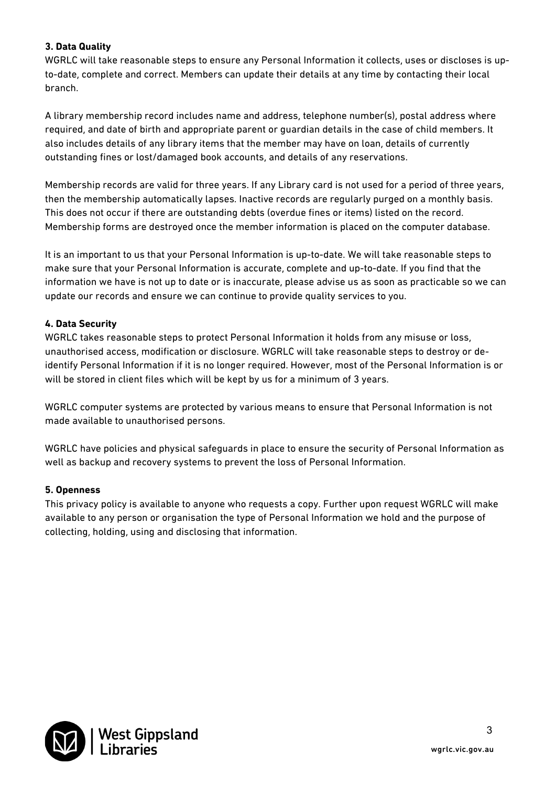### **3. Data Quality**

WGRLC will take reasonable steps to ensure any Personal Information it collects, uses or discloses is upto-date, complete and correct. Members can update their details at any time by contacting their local branch.

A library membership record includes name and address, telephone number(s), postal address where required, and date of birth and appropriate parent or guardian details in the case of child members. It also includes details of any library items that the member may have on loan, details of currently outstanding fines or lost/damaged book accounts, and details of any reservations.

Membership records are valid for three years. If any Library card is not used for a period of three years, then the membership automatically lapses. Inactive records are regularly purged on a monthly basis. This does not occur if there are outstanding debts (overdue fines or items) listed on the record. Membership forms are destroyed once the member information is placed on the computer database.

It is an important to us that your Personal Information is up-to-date. We will take reasonable steps to make sure that your Personal Information is accurate, complete and up-to-date. If you find that the information we have is not up to date or is inaccurate, please advise us as soon as practicable so we can update our records and ensure we can continue to provide quality services to you.

### **4. Data Security**

WGRLC takes reasonable steps to protect Personal Information it holds from any misuse or loss, unauthorised access, modification or disclosure. WGRLC will take reasonable steps to destroy or deidentify Personal Information if it is no longer required. However, most of the Personal Information is or will be stored in client files which will be kept by us for a minimum of 3 years.

WGRLC computer systems are protected by various means to ensure that Personal Information is not made available to unauthorised persons.

WGRLC have policies and physical safeguards in place to ensure the security of Personal Information as well as backup and recovery systems to prevent the loss of Personal Information.

### **5. Openness**

This privacy policy is available to anyone who requests a copy. Further upon request WGRLC will make available to any person or organisation the type of Personal Information we hold and the purpose of collecting, holding, using and disclosing that information.

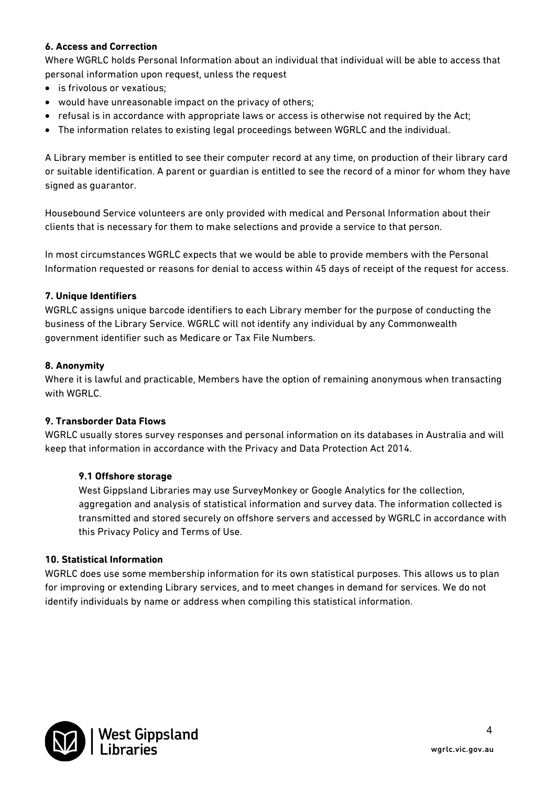### **6. Access and Correction**

Where WGRLC holds Personal Information about an individual that individual will be able to access that personal information upon request, unless the request

- is frivolous or vexatious;
- would have unreasonable impact on the privacy of others;
- refusal is in accordance with appropriate laws or access is otherwise not required by the Act;
- The information relates to existing legal proceedings between WGRLC and the individual.

A Library member is entitled to see their computer record at any time, on production of their library card or suitable identification. A parent or guardian is entitled to see the record of a minor for whom they have signed as guarantor.

Housebound Service volunteers are only provided with medical and Personal Information about their clients that is necessary for them to make selections and provide a service to that person.

In most circumstances WGRLC expects that we would be able to provide members with the Personal Information requested or reasons for denial to access within 45 days of receipt of the request for access.

### **7. Unique Identifiers**

WGRLC assigns unique barcode identifiers to each Library member for the purpose of conducting the business of the Library Service. WGRLC will not identify any individual by any Commonwealth government identifier such as Medicare or Tax File Numbers.

#### **8. Anonymity**

Where it is lawful and practicable, Members have the option of remaining anonymous when transacting with WGRLC.

### **9. Transborder Data Flows**

WGRLC usually stores survey responses and personal information on its databases in Australia and will keep that information in accordance with the Privacy and Data Protection Act 2014.

### **9.1 Offshore storage**

West Gippsland Libraries may use SurveyMonkey or Google Analytics for the collection, aggregation and analysis of statistical information and survey data. The information collected is transmitted and stored securely on offshore servers and accessed by WGRLC in accordance with this Privacy Policy and Terms of Use.

#### **10. Statistical Information**

WGRLC does use some membership information for its own statistical purposes. This allows us to plan for improving or extending Library services, and to meet changes in demand for services. We do not identify individuals by name or address when compiling this statistical information.